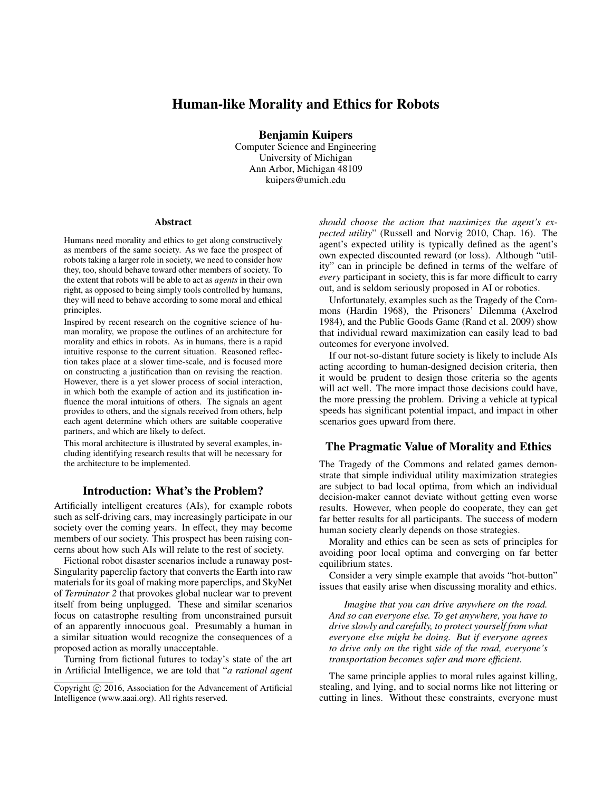# Human-like Morality and Ethics for Robots

Benjamin Kuipers

Computer Science and Engineering University of Michigan Ann Arbor, Michigan 48109 kuipers@umich.edu

#### Abstract

Humans need morality and ethics to get along constructively as members of the same society. As we face the prospect of robots taking a larger role in society, we need to consider how they, too, should behave toward other members of society. To the extent that robots will be able to act as *agents* in their own right, as opposed to being simply tools controlled by humans, they will need to behave according to some moral and ethical principles.

Inspired by recent research on the cognitive science of human morality, we propose the outlines of an architecture for morality and ethics in robots. As in humans, there is a rapid intuitive response to the current situation. Reasoned reflection takes place at a slower time-scale, and is focused more on constructing a justification than on revising the reaction. However, there is a yet slower process of social interaction, in which both the example of action and its justification influence the moral intuitions of others. The signals an agent provides to others, and the signals received from others, help each agent determine which others are suitable cooperative partners, and which are likely to defect.

This moral architecture is illustrated by several examples, including identifying research results that will be necessary for the architecture to be implemented.

### Introduction: What's the Problem?

Artificially intelligent creatures (AIs), for example robots such as self-driving cars, may increasingly participate in our society over the coming years. In effect, they may become members of our society. This prospect has been raising concerns about how such AIs will relate to the rest of society.

Fictional robot disaster scenarios include a runaway post-Singularity paperclip factory that converts the Earth into raw materials for its goal of making more paperclips, and SkyNet of *Terminator 2* that provokes global nuclear war to prevent itself from being unplugged. These and similar scenarios focus on catastrophe resulting from unconstrained pursuit of an apparently innocuous goal. Presumably a human in a similar situation would recognize the consequences of a proposed action as morally unacceptable.

Turning from fictional futures to today's state of the art in Artificial Intelligence, we are told that "*a rational agent* *should choose the action that maximizes the agent's expected utility*" (Russell and Norvig 2010, Chap. 16). The agent's expected utility is typically defined as the agent's own expected discounted reward (or loss). Although "utility" can in principle be defined in terms of the welfare of *every* participant in society, this is far more difficult to carry out, and is seldom seriously proposed in AI or robotics.

Unfortunately, examples such as the Tragedy of the Commons (Hardin 1968), the Prisoners' Dilemma (Axelrod 1984), and the Public Goods Game (Rand et al. 2009) show that individual reward maximization can easily lead to bad outcomes for everyone involved.

If our not-so-distant future society is likely to include AIs acting according to human-designed decision criteria, then it would be prudent to design those criteria so the agents will act well. The more impact those decisions could have, the more pressing the problem. Driving a vehicle at typical speeds has significant potential impact, and impact in other scenarios goes upward from there.

### The Pragmatic Value of Morality and Ethics

The Tragedy of the Commons and related games demonstrate that simple individual utility maximization strategies are subject to bad local optima, from which an individual decision-maker cannot deviate without getting even worse results. However, when people do cooperate, they can get far better results for all participants. The success of modern human society clearly depends on those strategies.

Morality and ethics can be seen as sets of principles for avoiding poor local optima and converging on far better equilibrium states.

Consider a very simple example that avoids "hot-button" issues that easily arise when discussing morality and ethics.

*Imagine that you can drive anywhere on the road. And so can everyone else. To get anywhere, you have to drive slowly and carefully, to protect yourself from what everyone else might be doing. But if everyone agrees to drive only on the* right *side of the road, everyone's transportation becomes safer and more efficient.*

The same principle applies to moral rules against killing, stealing, and lying, and to social norms like not littering or cutting in lines. Without these constraints, everyone must

Copyright (c) 2016, Association for the Advancement of Artificial Intelligence (www.aaai.org). All rights reserved.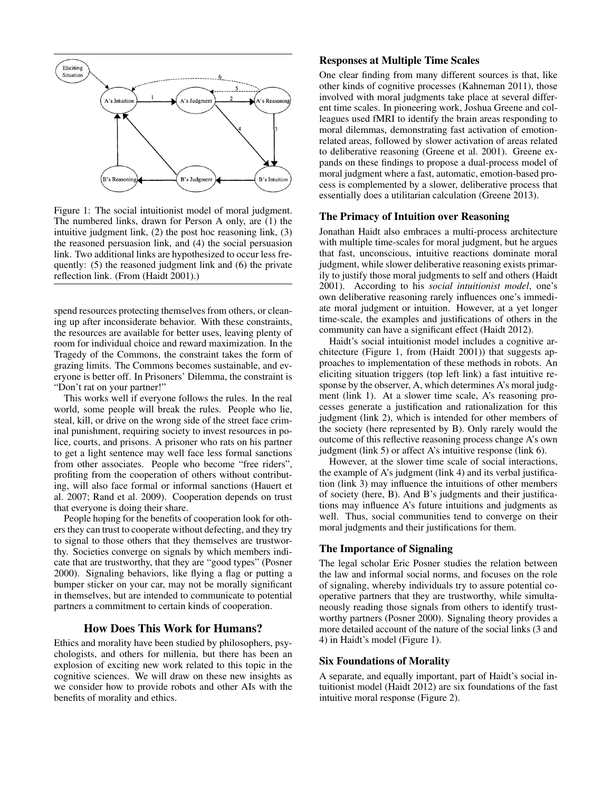

Figure 1: The social intuitionist model of moral judgment. The numbered links, drawn for Person A only, are (1) the intuitive judgment link, (2) the post hoc reasoning link, (3) the reasoned persuasion link, and (4) the social persuasion link. Two additional links are hypothesized to occur less frequently: (5) the reasoned judgment link and (6) the private reflection link. (From (Haidt 2001).)

spend resources protecting themselves from others, or cleaning up after inconsiderate behavior. With these constraints, the resources are available for better uses, leaving plenty of room for individual choice and reward maximization. In the Tragedy of the Commons, the constraint takes the form of grazing limits. The Commons becomes sustainable, and everyone is better off. In Prisoners' Dilemma, the constraint is "Don't rat on your partner!"

This works well if everyone follows the rules. In the real world, some people will break the rules. People who lie, steal, kill, or drive on the wrong side of the street face criminal punishment, requiring society to invest resources in police, courts, and prisons. A prisoner who rats on his partner to get a light sentence may well face less formal sanctions from other associates. People who become "free riders", profiting from the cooperation of others without contributing, will also face formal or informal sanctions (Hauert et al. 2007; Rand et al. 2009). Cooperation depends on trust that everyone is doing their share.

People hoping for the benefits of cooperation look for others they can trust to cooperate without defecting, and they try to signal to those others that they themselves are trustworthy. Societies converge on signals by which members indicate that are trustworthy, that they are "good types" (Posner 2000). Signaling behaviors, like flying a flag or putting a bumper sticker on your car, may not be morally significant in themselves, but are intended to communicate to potential partners a commitment to certain kinds of cooperation.

### How Does This Work for Humans?

Ethics and morality have been studied by philosophers, psychologists, and others for millenia, but there has been an explosion of exciting new work related to this topic in the cognitive sciences. We will draw on these new insights as we consider how to provide robots and other AIs with the benefits of morality and ethics.

#### Responses at Multiple Time Scales

One clear finding from many different sources is that, like other kinds of cognitive processes (Kahneman 2011), those involved with moral judgments take place at several different time scales. In pioneering work, Joshua Greene and colleagues used fMRI to identify the brain areas responding to moral dilemmas, demonstrating fast activation of emotionrelated areas, followed by slower activation of areas related to deliberative reasoning (Greene et al. 2001). Greene expands on these findings to propose a dual-process model of moral judgment where a fast, automatic, emotion-based process is complemented by a slower, deliberative process that essentially does a utilitarian calculation (Greene 2013).

#### The Primacy of Intuition over Reasoning

Jonathan Haidt also embraces a multi-process architecture with multiple time-scales for moral judgment, but he argues that fast, unconscious, intuitive reactions dominate moral judgment, while slower deliberative reasoning exists primarily to justify those moral judgments to self and others (Haidt 2001). According to his *social intuitionist model*, one's own deliberative reasoning rarely influences one's immediate moral judgment or intuition. However, at a yet longer time-scale, the examples and justifications of others in the community can have a significant effect (Haidt 2012).

Haidt's social intuitionist model includes a cognitive architecture (Figure 1, from (Haidt 2001)) that suggests approaches to implementation of these methods in robots. An eliciting situation triggers (top left link) a fast intuitive response by the observer, A, which determines A's moral judgment (link 1). At a slower time scale, A's reasoning processes generate a justification and rationalization for this judgment (link 2), which is intended for other members of the society (here represented by B). Only rarely would the outcome of this reflective reasoning process change A's own judgment (link 5) or affect A's intuitive response (link 6).

However, at the slower time scale of social interactions, the example of A's judgment (link 4) and its verbal justification (link 3) may influence the intuitions of other members of society (here, B). And B's judgments and their justifications may influence A's future intuitions and judgments as well. Thus, social communities tend to converge on their moral judgments and their justifications for them.

## The Importance of Signaling

The legal scholar Eric Posner studies the relation between the law and informal social norms, and focuses on the role of signaling, whereby individuals try to assure potential cooperative partners that they are trustworthy, while simultaneously reading those signals from others to identify trustworthy partners (Posner 2000). Signaling theory provides a more detailed account of the nature of the social links (3 and 4) in Haidt's model (Figure 1).

#### Six Foundations of Morality

A separate, and equally important, part of Haidt's social intuitionist model (Haidt 2012) are six foundations of the fast intuitive moral response (Figure 2).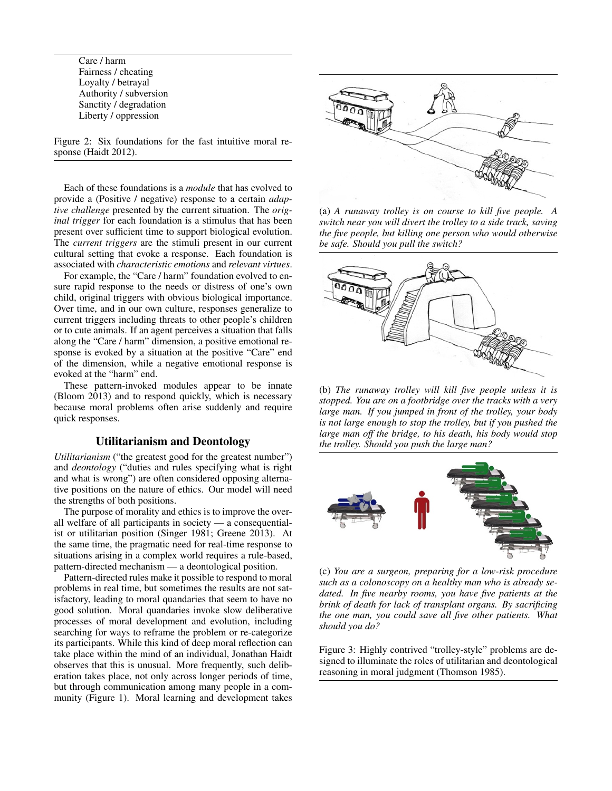Care / harm Fairness / cheating Loyalty / betrayal Authority / subversion Sanctity / degradation Liberty / oppression

Figure 2: Six foundations for the fast intuitive moral response (Haidt 2012).

Each of these foundations is a *module* that has evolved to provide a (Positive / negative) response to a certain *adaptive challenge* presented by the current situation. The *original trigger* for each foundation is a stimulus that has been present over sufficient time to support biological evolution. The *current triggers* are the stimuli present in our current cultural setting that evoke a response. Each foundation is associated with *characteristic emotions* and *relevant virtues*.

For example, the "Care / harm" foundation evolved to ensure rapid response to the needs or distress of one's own child, original triggers with obvious biological importance. Over time, and in our own culture, responses generalize to current triggers including threats to other people's children or to cute animals. If an agent perceives a situation that falls along the "Care / harm" dimension, a positive emotional response is evoked by a situation at the positive "Care" end of the dimension, while a negative emotional response is evoked at the "harm" end.

These pattern-invoked modules appear to be innate (Bloom 2013) and to respond quickly, which is necessary because moral problems often arise suddenly and require quick responses.

#### Utilitarianism and Deontology

*Utilitarianism* ("the greatest good for the greatest number") and *deontology* ("duties and rules specifying what is right and what is wrong") are often considered opposing alternative positions on the nature of ethics. Our model will need the strengths of both positions.

The purpose of morality and ethics is to improve the overall welfare of all participants in society — a consequentialist or utilitarian position (Singer 1981; Greene 2013). At the same time, the pragmatic need for real-time response to situations arising in a complex world requires a rule-based, pattern-directed mechanism — a deontological position.

Pattern-directed rules make it possible to respond to moral problems in real time, but sometimes the results are not satisfactory, leading to moral quandaries that seem to have no good solution. Moral quandaries invoke slow deliberative processes of moral development and evolution, including searching for ways to reframe the problem or re-categorize its participants. While this kind of deep moral reflection can take place within the mind of an individual, Jonathan Haidt observes that this is unusual. More frequently, such deliberation takes place, not only across longer periods of time, but through communication among many people in a community (Figure 1). Moral learning and development takes



(a) *A runaway trolley is on course to kill five people. A switch near you will divert the trolley to a side track, saving the five people, but killing one person who would otherwise be safe. Should you pull the switch?*



(b) *The runaway trolley will kill five people unless it is stopped. You are on a footbridge over the tracks with a very large man. If you jumped in front of the trolley, your body is not large enough to stop the trolley, but if you pushed the large man off the bridge, to his death, his body would stop the trolley. Should you push the large man?*



(c) *You are a surgeon, preparing for a low-risk procedure such as a colonoscopy on a healthy man who is already sedated. In five nearby rooms, you have five patients at the brink of death for lack of transplant organs. By sacrificing the one man, you could save all five other patients. What should you do?*

Figure 3: Highly contrived "trolley-style" problems are designed to illuminate the roles of utilitarian and deontological reasoning in moral judgment (Thomson 1985).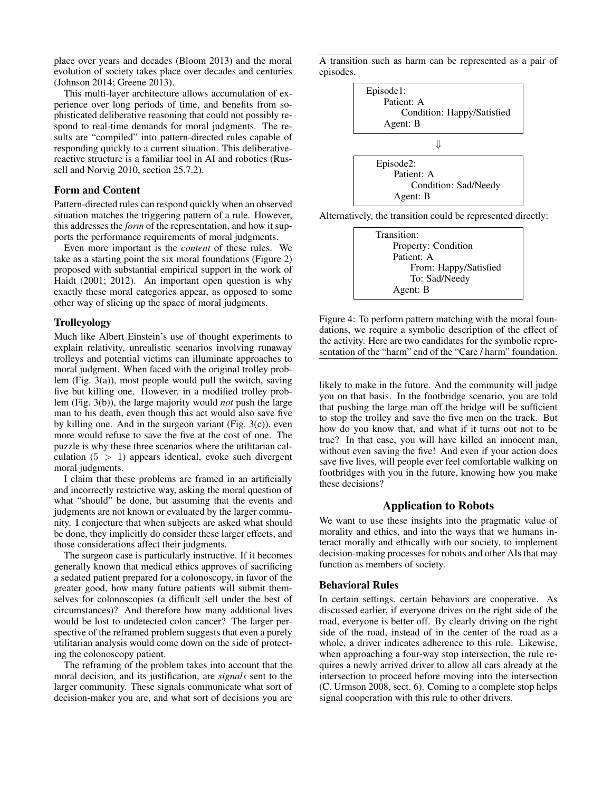place over years and decades (Bloom 2013) and the moral evolution of society takes place over decades and centuries (Johnson 2014; Greene 2013).

This multi-layer architecture allows accumulation of experience over long periods of time, and benefits from sophisticated deliberative reasoning that could not possibly respond to real-time demands for moral judgments. The results are "compiled" into pattern-directed rules capable of responding quickly to a current situation. This deliberativereactive structure is a familiar tool in AI and robotics (Russell and Norvig 2010, section 25.7.2).

#### Form and Content

Pattern-directed rules can respond quickly when an observed situation matches the triggering pattern of a rule. However, this addresses the *form* of the representation, and how it supports the performance requirements of moral judgments.

Even more important is the *content* of these rules. We take as a starting point the six moral foundations (Figure 2) proposed with substantial empirical support in the work of Haidt (2001; 2012). An important open question is why exactly these moral categories appear, as opposed to some other way of slicing up the space of moral judgments.

### **Trolleyology**

Much like Albert Einstein's use of thought experiments to explain relativity, unrealistic scenarios involving runaway trolleys and potential victims can illuminate approaches to moral judgment. When faced with the original trolley problem (Fig. 3(a)), most people would pull the switch, saving five but killing one. However, in a modified trolley problem (Fig. 3(b)), the large majority would *not* push the large man to his death, even though this act would also save five by killing one. And in the surgeon variant (Fig.  $3(c)$ ), even more would refuse to save the five at the cost of one. The puzzle is why these three scenarios where the utilitarian calculation  $(5 > 1)$  appears identical, evoke such divergent moral judgments.

I claim that these problems are framed in an artificially and incorrectly restrictive way, asking the moral question of what "should" be done, but assuming that the events and judgments are not known or evaluated by the larger community. I conjecture that when subjects are asked what should be done, they implicitly do consider these larger effects, and those considerations affect their judgments.

The surgeon case is particularly instructive. If it becomes generally known that medical ethics approves of sacrificing a sedated patient prepared for a colonoscopy, in favor of the greater good, how many future patients will submit themselves for colonoscopies (a difficult sell under the best of circumstances)? And therefore how many additional lives would be lost to undetected colon cancer? The larger perspective of the reframed problem suggests that even a purely utilitarian analysis would come down on the side of protecting the colonoscopy patient.

The reframing of the problem takes into account that the moral decision, and its justification, are *signals* sent to the larger community. These signals communicate what sort of decision-maker you are, and what sort of decisions you are

A transition such as harm can be represented as a pair of episodes.



Alternatively, the transition could be represented directly:

Transition: Property: Condition Patient: A From: Happy/Satisfied To: Sad/Needy Agent: B

Figure 4: To perform pattern matching with the moral foundations, we require a symbolic description of the effect of the activity. Here are two candidates for the symbolic representation of the "harm" end of the "Care / harm" foundation.

likely to make in the future. And the community will judge you on that basis. In the footbridge scenario, you are told that pushing the large man off the bridge will be sufficient to stop the trolley and save the five men on the track. But how do you know that, and what if it turns out not to be true? In that case, you will have killed an innocent man, without even saving the five! And even if your action does save five lives, will people ever feel comfortable walking on footbridges with you in the future, knowing how you make these decisions?

### Application to Robots

We want to use these insights into the pragmatic value of morality and ethics, and into the ways that we humans interact morally and ethically with our society, to implement decision-making processes for robots and other AIs that may function as members of society.

#### Behavioral Rules

In certain settings, certain behaviors are cooperative. As discussed earlier, if everyone drives on the right side of the road, everyone is better off. By clearly driving on the right side of the road, instead of in the center of the road as a whole, a driver indicates adherence to this rule. Likewise, when approaching a four-way stop intersection, the rule requires a newly arrived driver to allow all cars already at the intersection to proceed before moving into the intersection (C. Urmson 2008, sect. 6). Coming to a complete stop helps signal cooperation with this rule to other drivers.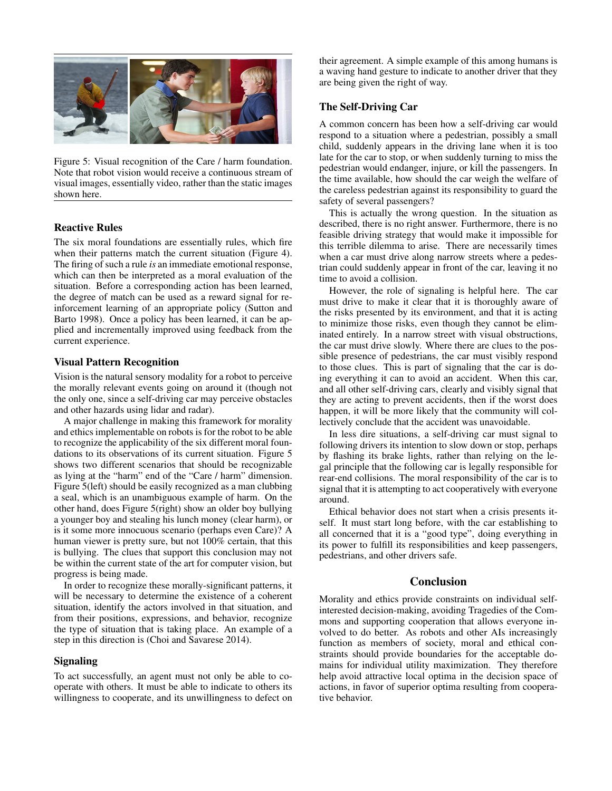

Figure 5: Visual recognition of the Care / harm foundation. Note that robot vision would receive a continuous stream of visual images, essentially video, rather than the static images shown here.

### Reactive Rules

The six moral foundations are essentially rules, which fire when their patterns match the current situation (Figure 4). The firing of such a rule *is* an immediate emotional response, which can then be interpreted as a moral evaluation of the situation. Before a corresponding action has been learned, the degree of match can be used as a reward signal for reinforcement learning of an appropriate policy (Sutton and Barto 1998). Once a policy has been learned, it can be applied and incrementally improved using feedback from the current experience.

### Visual Pattern Recognition

Vision is the natural sensory modality for a robot to perceive the morally relevant events going on around it (though not the only one, since a self-driving car may perceive obstacles and other hazards using lidar and radar).

A major challenge in making this framework for morality and ethics implementable on robots is for the robot to be able to recognize the applicability of the six different moral foundations to its observations of its current situation. Figure 5 shows two different scenarios that should be recognizable as lying at the "harm" end of the "Care / harm" dimension. Figure 5(left) should be easily recognized as a man clubbing a seal, which is an unambiguous example of harm. On the other hand, does Figure 5(right) show an older boy bullying a younger boy and stealing his lunch money (clear harm), or is it some more innocuous scenario (perhaps even Care)? A human viewer is pretty sure, but not 100% certain, that this is bullying. The clues that support this conclusion may not be within the current state of the art for computer vision, but progress is being made.

In order to recognize these morally-significant patterns, it will be necessary to determine the existence of a coherent situation, identify the actors involved in that situation, and from their positions, expressions, and behavior, recognize the type of situation that is taking place. An example of a step in this direction is (Choi and Savarese 2014).

#### Signaling

To act successfully, an agent must not only be able to cooperate with others. It must be able to indicate to others its willingness to cooperate, and its unwillingness to defect on their agreement. A simple example of this among humans is a waving hand gesture to indicate to another driver that they are being given the right of way.

### The Self-Driving Car

A common concern has been how a self-driving car would respond to a situation where a pedestrian, possibly a small child, suddenly appears in the driving lane when it is too late for the car to stop, or when suddenly turning to miss the pedestrian would endanger, injure, or kill the passengers. In the time available, how should the car weigh the welfare of the careless pedestrian against its responsibility to guard the safety of several passengers?

This is actually the wrong question. In the situation as described, there is no right answer. Furthermore, there is no feasible driving strategy that would make it impossible for this terrible dilemma to arise. There are necessarily times when a car must drive along narrow streets where a pedestrian could suddenly appear in front of the car, leaving it no time to avoid a collision.

However, the role of signaling is helpful here. The car must drive to make it clear that it is thoroughly aware of the risks presented by its environment, and that it is acting to minimize those risks, even though they cannot be eliminated entirely. In a narrow street with visual obstructions, the car must drive slowly. Where there are clues to the possible presence of pedestrians, the car must visibly respond to those clues. This is part of signaling that the car is doing everything it can to avoid an accident. When this car, and all other self-driving cars, clearly and visibly signal that they are acting to prevent accidents, then if the worst does happen, it will be more likely that the community will collectively conclude that the accident was unavoidable.

In less dire situations, a self-driving car must signal to following drivers its intention to slow down or stop, perhaps by flashing its brake lights, rather than relying on the legal principle that the following car is legally responsible for rear-end collisions. The moral responsibility of the car is to signal that it is attempting to act cooperatively with everyone around.

Ethical behavior does not start when a crisis presents itself. It must start long before, with the car establishing to all concerned that it is a "good type", doing everything in its power to fulfill its responsibilities and keep passengers, pedestrians, and other drivers safe.

#### Conclusion

Morality and ethics provide constraints on individual selfinterested decision-making, avoiding Tragedies of the Commons and supporting cooperation that allows everyone involved to do better. As robots and other AIs increasingly function as members of society, moral and ethical constraints should provide boundaries for the acceptable domains for individual utility maximization. They therefore help avoid attractive local optima in the decision space of actions, in favor of superior optima resulting from cooperative behavior.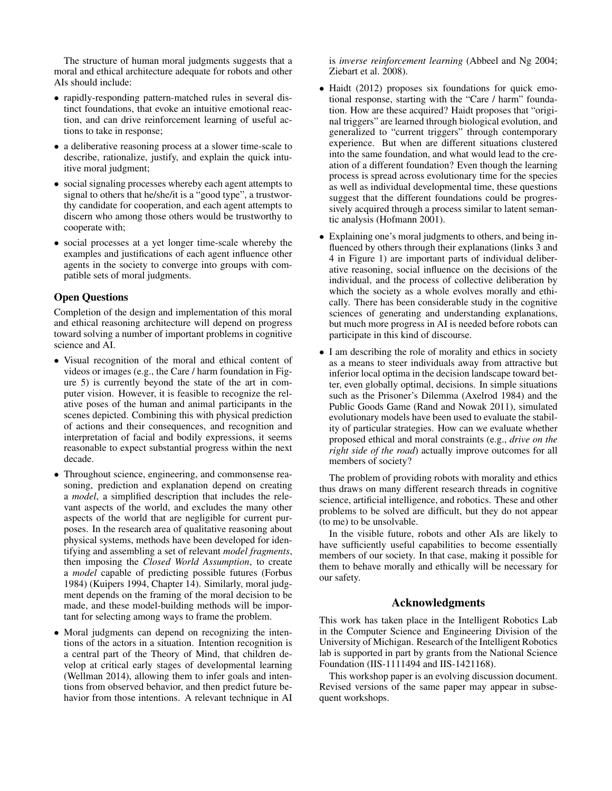The structure of human moral judgments suggests that a moral and ethical architecture adequate for robots and other AIs should include:

- rapidly-responding pattern-matched rules in several distinct foundations, that evoke an intuitive emotional reaction, and can drive reinforcement learning of useful actions to take in response;
- a deliberative reasoning process at a slower time-scale to describe, rationalize, justify, and explain the quick intuitive moral judgment;
- social signaling processes whereby each agent attempts to signal to others that he/she/it is a "good type", a trustworthy candidate for cooperation, and each agent attempts to discern who among those others would be trustworthy to cooperate with;
- social processes at a yet longer time-scale whereby the examples and justifications of each agent influence other agents in the society to converge into groups with compatible sets of moral judgments.

### Open Questions

Completion of the design and implementation of this moral and ethical reasoning architecture will depend on progress toward solving a number of important problems in cognitive science and AI.

- Visual recognition of the moral and ethical content of videos or images (e.g., the Care / harm foundation in Figure 5) is currently beyond the state of the art in computer vision. However, it is feasible to recognize the relative poses of the human and animal participants in the scenes depicted. Combining this with physical prediction of actions and their consequences, and recognition and interpretation of facial and bodily expressions, it seems reasonable to expect substantial progress within the next decade.
- Throughout science, engineering, and commonsense reasoning, prediction and explanation depend on creating a *model*, a simplified description that includes the relevant aspects of the world, and excludes the many other aspects of the world that are negligible for current purposes. In the research area of qualitative reasoning about physical systems, methods have been developed for identifying and assembling a set of relevant *model fragments*, then imposing the *Closed World Assumption*, to create a *model* capable of predicting possible futures (Forbus 1984) (Kuipers 1994, Chapter 14). Similarly, moral judgment depends on the framing of the moral decision to be made, and these model-building methods will be important for selecting among ways to frame the problem.
- Moral judgments can depend on recognizing the intentions of the actors in a situation. Intention recognition is a central part of the Theory of Mind, that children develop at critical early stages of developmental learning (Wellman 2014), allowing them to infer goals and intentions from observed behavior, and then predict future behavior from those intentions. A relevant technique in AI

is *inverse reinforcement learning* (Abbeel and Ng 2004; Ziebart et al. 2008).

- Haidt (2012) proposes six foundations for quick emotional response, starting with the "Care / harm" foundation. How are these acquired? Haidt proposes that "original triggers" are learned through biological evolution, and generalized to "current triggers" through contemporary experience. But when are different situations clustered into the same foundation, and what would lead to the creation of a different foundation? Even though the learning process is spread across evolutionary time for the species as well as individual developmental time, these questions suggest that the different foundations could be progressively acquired through a process similar to latent semantic analysis (Hofmann 2001).
- Explaining one's moral judgments to others, and being influenced by others through their explanations (links 3 and 4 in Figure 1) are important parts of individual deliberative reasoning, social influence on the decisions of the individual, and the process of collective deliberation by which the society as a whole evolves morally and ethically. There has been considerable study in the cognitive sciences of generating and understanding explanations, but much more progress in AI is needed before robots can participate in this kind of discourse.
- I am describing the role of morality and ethics in society as a means to steer individuals away from attractive but inferior local optima in the decision landscape toward better, even globally optimal, decisions. In simple situations such as the Prisoner's Dilemma (Axelrod 1984) and the Public Goods Game (Rand and Nowak 2011), simulated evolutionary models have been used to evaluate the stability of particular strategies. How can we evaluate whether proposed ethical and moral constraints (e.g., *drive on the right side of the road*) actually improve outcomes for all members of society?

The problem of providing robots with morality and ethics thus draws on many different research threads in cognitive science, artificial intelligence, and robotics. These and other problems to be solved are difficult, but they do not appear (to me) to be unsolvable.

In the visible future, robots and other AIs are likely to have sufficiently useful capabilities to become essentially members of our society. In that case, making it possible for them to behave morally and ethically will be necessary for our safety.

# Acknowledgments

This work has taken place in the Intelligent Robotics Lab in the Computer Science and Engineering Division of the University of Michigan. Research of the Intelligent Robotics lab is supported in part by grants from the National Science Foundation (IIS-1111494 and IIS-1421168).

This workshop paper is an evolving discussion document. Revised versions of the same paper may appear in subsequent workshops.